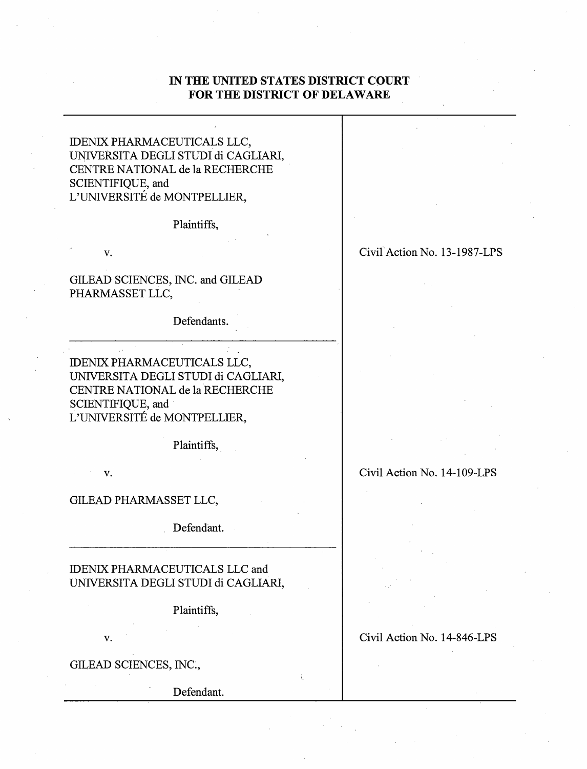# **IN THE UNITED STATES DISTRICT COURT FOR THE DISTRICT OF DELAWARE**

IDENIX PHARMACEUTICALS LLC, UNIVERSITA DEGLI STUDI di CAGLIARI, CENTRE NATIONAL de la RECHERCHE SCIENTIFIQUE, and L'UNIVERSITE de MONTPELLIER,

Plaintiffs,

v.

GILEAD SCIENCES, INC. and GILEAD PHARMASSET LLC,

Defendants.

IDENIX PHARMACEUTICALS LLC, UNIVERSITA DEGLI STUDI di CAGLIARI, CENTRE NATIONAL de la RECHERCHE SCIENTIFIQUE, and L'UNIVERSITE de MONTPELLIER,

Plaintiffs, .

v.

GILEAD PHARMASSET LLC,

Defendant.

IDENIX PHARMACEUTICALS LLC and UNIVERSITA DEGLI STUDI di CAGLIARI,

Plaintiffs,

v.

GILEAD SCIENCES, INC.,

Defendant.

## Civil Action No. 13-1987-LPS

Civil Action No. 14-109-LPS

Civil Action No. 14-846-LPS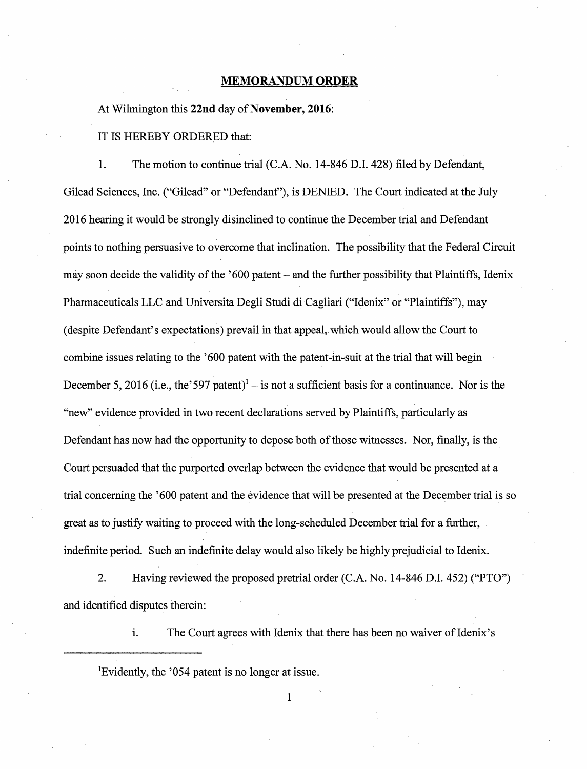#### **MEMORANDUM ORDER**

### At Wilmington this **22nd** day of **November, 2016:**

#### IT IS HEREBY ORDERED that:

1. The motion to continue trial (C.A. No. 14-846 D.I. 428) filed by Defendant, Gilead Sciences, Inc. ("Gilead" or "Defendant"), is DENIED. The Court indicated at the July 2016 hearing it would be strongly disinclined to continue the December trial and Defendant points to nothing persuasive to overcome that inclination. The possibility that the Federal Circuit may soon decide the validity of the '600 patent – and the further possibility that Plaintiffs, Idenix Pharmaceuticals LLC and Universita Degli Studi di Cagliari ("Idenix" or "Plaintiffs"), may (despite Defendant's expectations) prevail in that appeal, which would allow the Court to combine issues relating to the '600 patent with the patent-in-suit at the trial that will begin December 5, 2016 (i.e., the '597 patent)<sup>1</sup> – is not a sufficient basis for a continuance. Nor is the "new" evidence provided in two recent declarations served by Plaintiffs, particularly as Defendant has now had the opportunity to depose both of those witnesses. Nor, finally, is the Court persuaded that the purported overlap between the evidence that would be presented at a trial concerning the '600 patent and the evidence that will be presented at the December trial is so great as to justify waiting to proceed with the long-scheduled December trial for a further, indefinite period. Such an indefinite delay would also likely be highly prejudicial to Idenix.

2. Having reviewed the proposed pretrial order (C.A. No. 14-846 D.I. 452) ("PTO") and identified disputes therein:

i. The Court agrees with Idenix that there has been no waiver of Idenix's

<sup>1</sup>Evidently, the '054 patent is no longer at issue.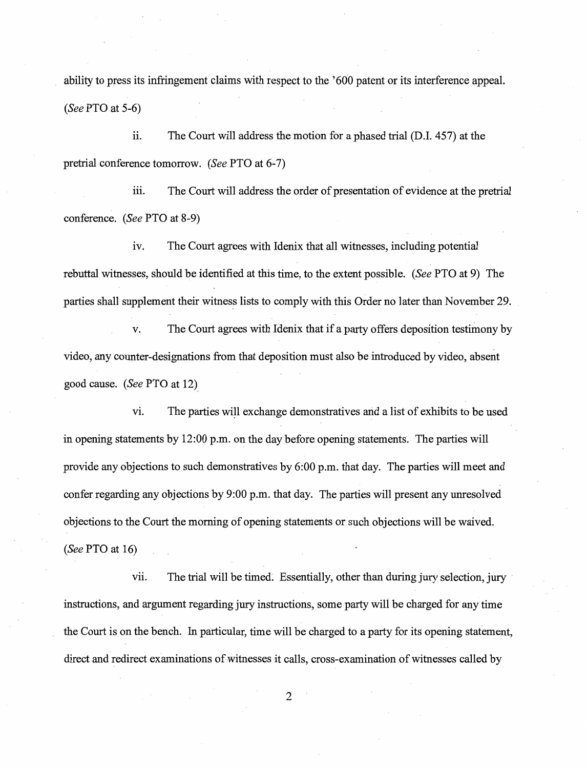ability to press its infringement claims with respect to the '600 patent or its interference appeal. *(See* PTO at 5-6)

ii. The Court will address the motion for a phased trial (D.I. 457) at the pretrial conference tomorrow. *(See* PTO at 6-7)

iii. The Court will address the order of presentation of evidence at the pretrial conference. *(See* PTO at 8-9)

iv. The Court agrees with Idenix that all witnesses, including potential rebuttal witnesses, should be identified at this time, to the extent possible. *(See* PTO at 9) The parties shall supplement their witness lists to comply with this Order no later than November 29.

v. The Court agrees with Idenix that if a party offers deposition testimony by video, any counter-designations from that deposition must also be introduced by video, absent good cause. *(See* PTO at 12),

vi. The parties will exchange demonstratives and a list of exhibits to be used in opening statements by 12:00 p.m. on the day before opening statements. The parties will provide any objections to such demonstratives by 6:00 p.m. that day. The parties will meet and confer regarding any objections by 9:00 p.m. that day. The parties will present any unresolved objections to the Court the morning of opening statements or such objections will be waived. *(See* PTO at 16)

vii. The trial will be timed. Essentially, other than during jury selection, jury instructions, and argument regarding jury instructions, some party wili be charged for any time the Court is on the bench. In particular, time will be charged to a party for its opening statement, direct and redirect examinations of witnesses it calls, cross-examination of witnesses called by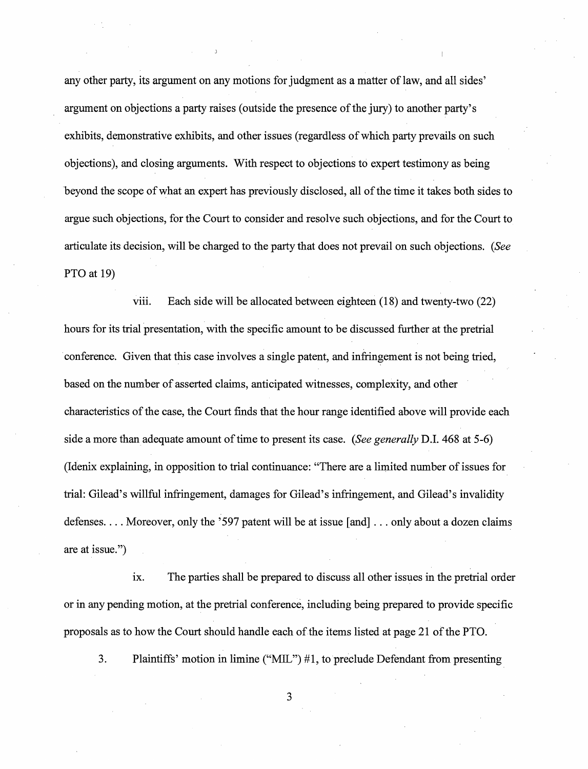any other party, its argument on any motions for judgment as a matter of law, and all sides' argument on objections a party raises (outside the presence of the jury) to another party's exhibits, demonstrative exhibits, and other issues (regardless of which party prevails on such objections), and closing arguments. With respect to objections to expert testimony as being beyond the scope of what an expert has previously disclosed, all of the time it takes both sides to argue such objections, for the Court to consider and resolve such objections, and for the Court to articulate its decision, will be charged to the party that does not prevail on such objections. *(See*  PTO at 19)

viii. Each side will be allocated between eighteen (18) and twenty-two (22) hours for its trial presentation, with the specific amount to be discussed further at the pretrial conference. Given that this case involves a single patent, and infringement is not being tried, based on the number of asserted claims, anticipated witnesses, complexity, and other characteristics of the case, the Court finds that the hour range identified above will provide each side a more than adequate amount of time to present its case. *(See generally* D.I. 468 at 5-6) (Idenix explaining, in opposition to trial continuance: "There are a limited number of issues for trial: Gilead's willful infringement, damages for Gilead's infringement, and Gilead's invalidity defenses .... Moreover, only the '597 patent will be at issue [and] ... only about a dozen claims are at issue.")

1x. The parties shall be prepared to discuss all other issues in the pretrial order or in any pending motion, at the pretrial conference, including being prepared to provide specific proposals as to how the Court should handle each of the items listed at page 21 of the PTO.

3. Plaintiffs' motion in limine ("MIL") # 1, to preclude Defendant from presenting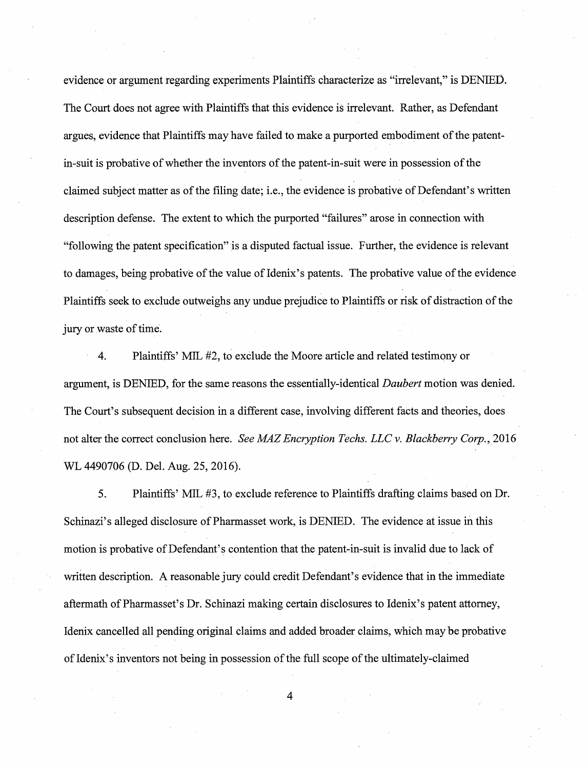evidence or argument regarding experiments Plaintiffs characterize as "irrelevant," is DENIEO. The Court does not agree with Plaintiffs that this evidence is irrelevant. Rather, as Defendant argues, evidence that Plaintiffs may have failed to make a purported embodiment of the patentin-suit is probative of whether the inventors of the patent-in-suit were in possession of the claimed subject matter as of the filing date; i.e., the evidence is probative of Defendant's written description defense. The extent to which the purported "failures" arose in connection with "following the patent specification" is a disputed factual issue. Further, the evidence is relevant to damages, being probative of the value of Idenix's patents. The probative value of the evidence Plaintiffs seek to exclude outweighs any undue prejudice to Plaintiffs or risk of distraction of the jury or waste of time.

4. Plaintiffs' MIL #2, to exelude the Moore article and related testimony or argument, is DENIED, for the same reasons the essentially-identical *Daubert* motion was denied. The Court's subsequent decision in a different case, involving different facts and theories, does not alter the correct conclusion here. *See MAZ Encryption Techs. LLC v. Blackberry Corp.,* 2016 WL 4490706 (D. Del. Aug. 25, 2016).

5. Plaintiffs' MIL #3, to exclude reference to Plaintiffs drafting claims based on Dr. Schinazi's alleged disclosure of Pharmasset work, is DENIED. The evidence at issue in this motion is probative of Defendant's contention that the patent-in-suit is invalid due to lack of written description. A reasonable jury could credit Defendant's evidence that in the immediate aftermath of Pharmasset's Dr. Schinazi making certain disclosures to Idenix's patent attorney, Idenix cancelled all pending original claims and added broader claims, which may be probative of Idenix' s inventors not being in possession of the full scope of the ultimately-claimed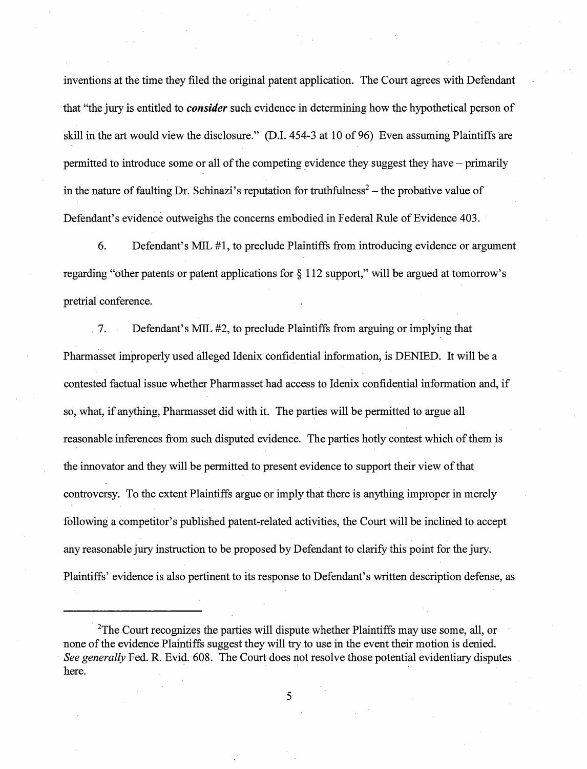inventions at the time they filed the original patent application. The Court agrees with Defendant that "the jury is entitled to *consider* such evidence in determining how the hypothetical person of skill in the art would view the disclosure." (D.I. 454-3 at 10 of 96) Even assuming Plaintiffs are permitted to introduce some or all of the competing evidence they suggest they have - primarily in the nature of faulting Dr. Schinazi's reputation for truthfulness<sup>2</sup> – the probative value of Defendant's evidence outweighs the concerns embodied in Federal Rule of Evidence 403.

6. Defendant's MIL #1, to preclude Plaintiffs from introducing evidence or argument regarding "other patents or patent applications for§ 112 support," will be argued at tomorrow's pretrial conference.

. 7. Defendant's MIL #2, to preclude Plaintiffs from arguing or implying that Pharmasset improperly used alleged Idenix confidential information, is DENIED. It will be a contested factual issue whether Pharmasset had access to Idenix confidential information and, if so, what, if anything, Pharmasset did with it. The parties will be permitted to argue all reasonable inferences from such disputed evidence. The parties hotly contest which of them is the innovator and they will be permitted to present evidence to support their view of that controversy. To the extent Plaintiffs argue or imply that there is anything improper in merely following a competitor's published patent-related activities, the Court will be inclined to accept any reasonable jury instruction to be proposed by Defendant to clarify this point for the jury. Plaintiffs' evidence is also pertinent to its responseto Defendant's written description defense, as

<sup>&</sup>lt;sup>2</sup>The Court recognizes the parties will dispute whether Plaintiffs may use some, all, or none of the evidence Plaintiffs suggest they will try to use in the event their motion is denied. *See generally* Fed. R. Evid. 608. The Court does not resolve those potential evidentiary disputes here.